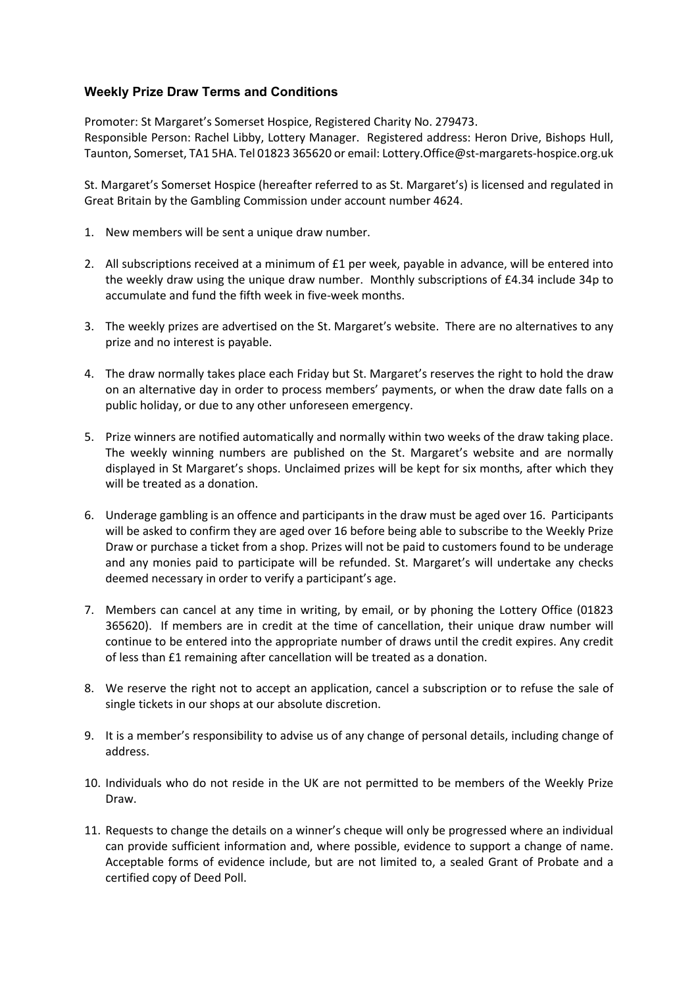## **Weekly Prize Draw Terms and Conditions**

Promoter: St Margaret's Somerset Hospice, Registered Charity No. 279473. Responsible Person: Rachel Libby, Lottery Manager. Registered address: Heron Drive, Bishops Hull, Taunton, Somerset, TA1 5HA. Tel 01823 365620 or email: Lottery.Office@st-margarets-hospice.org.uk

St. Margaret's Somerset Hospice (hereafter referred to as St. Margaret's) is licensed and regulated in Great Britain by the Gambling Commission under account number 4624.

- 1. New members will be sent a unique draw number.
- 2. All subscriptions received at a minimum of £1 per week, payable in advance, will be entered into the weekly draw using the unique draw number. Monthly subscriptions of £4.34 include 34p to accumulate and fund the fifth week in five-week months.
- 3. The weekly prizes are advertised on the St. Margaret's website. There are no alternatives to any prize and no interest is payable.
- 4. The draw normally takes place each Friday but St. Margaret's reserves the right to hold the draw on an alternative day in order to process members' payments, or when the draw date falls on a public holiday, or due to any other unforeseen emergency.
- 5. Prize winners are notified automatically and normally within two weeks of the draw taking place. The weekly winning numbers are published on the St. Margaret's website and are normally displayed in St Margaret's shops. Unclaimed prizes will be kept for six months, after which they will be treated as a donation.
- 6. Underage gambling is an offence and participants in the draw must be aged over 16. Participants will be asked to confirm they are aged over 16 before being able to subscribe to the Weekly Prize Draw or purchase a ticket from a shop. Prizes will not be paid to customers found to be underage and any monies paid to participate will be refunded. St. Margaret's will undertake any checks deemed necessary in order to verify a participant's age.
- 7. Members can cancel at any time in writing, by email, or by phoning the Lottery Office (01823 365620). If members are in credit at the time of cancellation, their unique draw number will continue to be entered into the appropriate number of draws until the credit expires. Any credit of less than £1 remaining after cancellation will be treated as a donation.
- 8. We reserve the right not to accept an application, cancel a subscription or to refuse the sale of single tickets in our shops at our absolute discretion.
- 9. It is a member's responsibility to advise us of any change of personal details, including change of address.
- 10. Individuals who do not reside in the UK are not permitted to be members of the Weekly Prize Draw.
- 11. Requests to change the details on a winner's cheque will only be progressed where an individual can provide sufficient information and, where possible, evidence to support a change of name. Acceptable forms of evidence include, but are not limited to, a sealed Grant of Probate and a certified copy of Deed Poll.